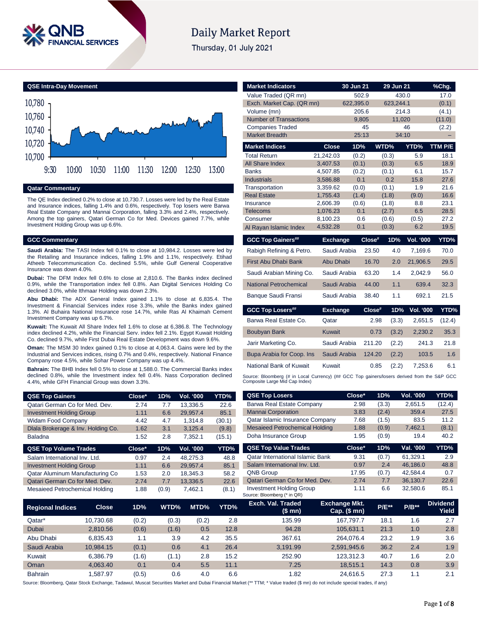

# **Daily Market Report**

Thursday, 01 July 2021



### **Qatar Commentary**

The QE Index declined 0.2% to close at 10,730.7. Losses were led by the Real Estate and Insurance indices, falling 1.4% and 0.6%, respectively. Top losers were Barwa Real Estate Company and Mannai Corporation, falling 3.3% and 2.4%, respectively. Among the top gainers, Qatari German Co for Med. Devices gained 7.7%, while Investment Holding Group was up 6.6%.

### **GCC Commentary**

**Saudi Arabia:** The TASI Index fell 0.1% to close at 10,984.2. Losses were led by the Retailing and Insurance indices, falling 1.9% and 1.1%, respectively. Etihad Atheeb Telecommunication Co. declined 5.5%, while Gulf General Cooperative Insurance was down 4.0%.

**Dubai:** The DFM Index fell 0.6% to close at 2,810.6. The Banks index declined 0.9%, while the Transportation index fell 0.8%. Aan Digital Services Holding Co declined 3.0%, while Ithmaar Holding was down 2.3%.

**Abu Dhabi:** The ADX General Index gained 1.1% to close at 6,835.4. The Investment & Financial Services index rose 3.3%, while the Banks index gained 1.3%. Al Buhaira National Insurance rose 14.7%, while Ras Al Khaimah Cement Investment Company was up 6.7%.

**Kuwait:** The Kuwait All Share Index fell 1.6% to close at 6,386.8. The Technology index declined 4.2%, while the Financial Serv. index fell 2.1%. Egypt Kuwait Holding Co. declined 9.7%, while First Dubai Real Estate Development was down 9.6%.

**Oman:** The MSM 30 Index gained 0.1% to close at 4,063.4. Gains were led by the Industrial and Services indices, rising 0.7% and 0.4%, respectively. National Finance Company rose 4.5%, while Sohar Power Company was up 4.4%.

**Bahrain:** The BHB Index fell 0.5% to close at 1,588.0. The Commercial Banks index declined 0.8%, while the Investment index fell 0.4%. Nass Corporation declined 4.4%, while GFH Financial Group was down 3.3%.

| <b>QSE Top Gainers</b>             | Close* | 1D% | Vol. '000 | YTD%   |
|------------------------------------|--------|-----|-----------|--------|
| Qatari German Co for Med. Dev.     | 2.74   | 7.7 | 13.336.5  | 22.6   |
| <b>Investment Holding Group</b>    | 1.11   | 6.6 | 29.957.4  | 85.1   |
| <b>Widam Food Company</b>          | 4.42   | 4.7 | 1.314.8   | (30.1) |
| Dlala Brokerage & Inv. Holding Co. | 1.62   | 3.1 | 3,125.4   | (9.8)  |
| <b>Baladna</b>                     | 1.52   | 2.8 | 7.352.1   | (15.1) |
| <b>QSE Top Volume Trades</b>       | Close* | 1D% | Vol. '000 | YTD%   |
| Salam International Inv. Ltd.      | 0.97   | 2.4 | 48.275.3  | 48.8   |

| Salam International Inv. Ltd.   | 0.97 | 2.4   | 48.275.3 | 48.8  |
|---------------------------------|------|-------|----------|-------|
| <b>Investment Holding Group</b> | 1.11 | 6.6   | 29.957.4 | 85.1  |
| Qatar Aluminum Manufacturing Co | 1.53 | 2.0   | 18.345.3 | 58.2  |
| Qatari German Co for Med. Dev.  | 2.74 | 7.7   | 13.336.5 | 22.6  |
| Mesaieed Petrochemical Holding  | 1.88 | (0.9) | 7.462.1  | (8.1) |

| <b>Market Indicators</b>                     |                      | 30 Jun 21          | 29 Jun 21          |                  | %Chg.           |
|----------------------------------------------|----------------------|--------------------|--------------------|------------------|-----------------|
| Value Traded (QR mn)                         |                      | 502.9              | 430.0              |                  | 17.0            |
| Exch. Market Cap. (QR mn)                    |                      | 622.395.0<br>205.6 | 623.244.1<br>214.3 |                  | (0.1)           |
| Volume (mn)<br><b>Number of Transactions</b> |                      | 9.805              | 11.020             |                  | (4.1)<br>(11.0) |
| <b>Companies Traded</b>                      |                      | 45                 |                    | 46               | (2.2)           |
| <b>Market Breadth</b>                        |                      | 25:13              | 34:10              |                  |                 |
| <b>Market Indices</b>                        | <b>Close</b>         | 1D%                | WTD%               | YTD%             | TTM P/E         |
| <b>Total Return</b>                          | 21,242.03            | (0.2)              | (0.3)              | 5.9              | 18.1            |
| All Share Index                              | 3.407.53             | (0.1)              | (0.3)              | 6.5              | 18.9            |
| <b>Banks</b>                                 | 4,507.85             | (0.2)              | (0.1)              | 6.1              | 15.7            |
| <b>Industrials</b>                           | 3.586.88             | 0.1                | 0.2                | 15.8             | 27.6            |
| Transportation                               | 3,359.62             | (0.0)              | (0.1)              | 1.9              | 21.6            |
| <b>Real Estate</b>                           | 1,755.43             | (1.4)              | (1.8)              | (9.0)            | 16.6            |
| Insurance                                    | 2,606.39             | (0.6)              | (1.8)              | 8.8              | 23.1            |
| Telecoms                                     | 1,076.23<br>8.100.23 | 0.1<br>0.6         | (2.7)              | 6.5              | 28.5<br>27.2    |
| Consumer                                     | 4,532.28             | 0.1                | (0.6)<br>(0.3)     | (0.5)<br>6.2     | 19.5            |
| Al Rayan Islamic Index                       |                      |                    |                    |                  |                 |
| <b>GCC Top Gainers##</b>                     | <b>Exchange</b>      | Close#             | 1D%                | <b>Vol. '000</b> | YTD%            |
| Rabigh Refining & Petro.                     | Saudi Arabia         | 23.50              | 4.0                | 7,169.6          | 70.0            |
| First Abu Dhabi Bank                         | Abu Dhabi            | 16.70              | 2.0                | 21,906.5         | 29.5            |
| Saudi Arabian Mining Co.                     | Saudi Arabia         | 63.20              | 1.4                | 2.042.9          | 56.0            |
| <b>National Petrochemical</b>                | Saudi Arabia         |                    |                    |                  |                 |
|                                              |                      | 44.00              | 1.1                | 639.4            | 32.3            |
| <b>Banque Saudi Fransi</b>                   | Saudi Arabia         | 38.40              | 1.1                | 692.1            | 21.5            |
| <b>GCC Top Losers##</b>                      | <b>Exchange</b>      | $Close^*$          | 1D%                | <b>Vol. '000</b> | YTD%            |
| Barwa Real Estate Co.                        | Qatar                |                    | 2.98<br>(3.3)      | 2.651.5          | (12.4)          |
| <b>Boubyan Bank</b>                          | <b>Kuwait</b>        |                    | 0.73<br>(3.2)      | 2,230.2          | 35.3            |
| Jarir Marketing Co.                          | Saudi Arabia         | 211.20             | (2.2)              | 241.3            | 21.8            |
| Bupa Arabia for Coop. Ins                    | Saudi Arabia         |                    | 124.20<br>(2.2)    | 103.5            | 1.6             |
| National Bank of Kuwait                      | Kuwait               |                    | 0.85<br>(2.2)      | 7,253.6          | 6.1             |

| <b>QSE Top Gainers</b>             |              | Close* | 1D%   | Vol. '000 | YTD%        | <b>QSE Top Losers</b>                                          | Close*                            | 1D%          | Vol. '000 | YTD%                     |
|------------------------------------|--------------|--------|-------|-----------|-------------|----------------------------------------------------------------|-----------------------------------|--------------|-----------|--------------------------|
| Qatari German Co for Med. Dev.     |              | 2.74   | 7.7   | 13,336.5  | 22.6        | Barwa Real Estate Company                                      | 2.98                              | (3.3)        | 2,651.5   | (12.4)                   |
| <b>Investment Holding Group</b>    |              | 1.11   | 6.6   | 29,957.4  | 85.1        | <b>Mannai Corporation</b>                                      | 3.83                              | (2.4)        | 359.4     | 27.5                     |
| Widam Food Company                 |              | 4.42   | 4.7   | 1,314.8   | (30.1)      | Qatar Islamic Insurance Company                                | 7.68                              | (1.5)        | 83.5      | 11.2                     |
| Dlala Brokerage & Inv. Holding Co. |              | 1.62   | 3.1   | 3,125.4   | (9.8)       | <b>Mesaieed Petrochemical Holding</b>                          | 1.88                              | (0.9)        | 7,462.1   | (8.1)                    |
| Baladna                            |              | 1.52   | 2.8   | 7,352.1   | (15.1)      | Doha Insurance Group                                           | 1.95                              | (0.9)        | 19.4      | 40.2                     |
| <b>QSE Top Volume Trades</b>       |              | Close* | 1D%   | Vol. '000 | YTD%        | <b>QSE Top Value Trades</b>                                    | Close*                            | 1D%          | Val. '000 | YTD%                     |
| Salam International Inv. Ltd.      |              | 0.97   | 2.4   | 48,275.3  | 48.8        | <b>Qatar International Islamic Bank</b>                        | 9.31                              | (0.7)        | 61,329.1  | 2.9                      |
| <b>Investment Holding Group</b>    |              | 1.11   | 6.6   | 29,957.4  | 85.1        | Salam International Inv. Ltd.                                  | 0.97                              | 2.4          | 46,186.0  | 48.8                     |
| Qatar Aluminum Manufacturing Co    |              | 1.53   | 2.0   | 18,345.3  | 58.2        | <b>QNB Group</b>                                               | 17.95                             | (0.7)        | 42,584.4  | 0.7                      |
| Qatari German Co for Med. Dev.     |              | 2.74   | 7.7   | 13,336.5  | 22.6        | Qatari German Co for Med. Dev.                                 | 2.74                              | 7.7          | 36,130.7  | 22.6                     |
| Mesaieed Petrochemical Holding     |              | 1.88   | (0.9) | 7,462.1   | (8.1)       | <b>Investment Holding Group</b><br>Source: Bloomberg (* in QR) | 1.11                              | 6.6          | 32,580.6  | 85.1                     |
| <b>Regional Indices</b>            | <b>Close</b> | 1D%    | WTD%  | MTD%      | <b>YTD%</b> | Exch. Val. Traded<br>(\$ mn)                                   | Exchange Mkt.<br>$Cap.$ $(\$$ mn) | <b>P/E**</b> | $P/B**$   | <b>Dividend</b><br>Yield |
| Qatar*                             | 10,730.68    | (0.2)  | (0.3) | (0.2)     | 2.8         | 135.99                                                         | 167,797.7                         | 18.1         | 1.6       | 2.7                      |
| Dubai                              | 2,810.56     | (0.6)  | (1.6) | 0.5       | 12.8        | 94.28                                                          | 105,631.1                         | 21.3         | 1.0       | 2.8                      |
| Abu Dhabi                          | 6,835.43     | 1.1    | 3.9   | 4.2       | 35.5        | 367.61                                                         | 264,076.4                         | 23.2         | 1.9       | 3.6                      |
| Saudi Arabia                       | 10,984.15    | (0.1)  | 0.6   | 4.1       | 26.4        | 3,191.99                                                       | 2,591,945.6                       | 36.2         | 2.4       | 1.9                      |

Source: Bloomberg, Qatar Stock Exchange, Tadawul, Muscat Securities Market and Dubai Financial Market (\*\* TTM; \* Value traded (\$ mn) do not include special trades, if any)

Kuwait 6,386.79 (1.6) (1.1) 2.8 15.2 252.90 123,312.3 40.7 1.6 2.0 Oman 4,063.40 0.1 0.4 5.5 11.1 7.25 18,515.1 14.3 0.8 3.9 Bahrain 1,587.97 (0.5) 0.6 4.0 6.6 1.82 24,616.5 27.3 1.1 2.1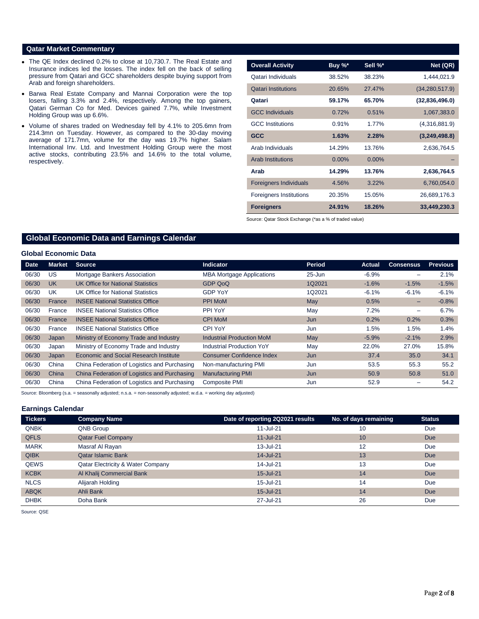# **Qatar Market Commentary**

- The QE Index declined 0.2% to close at 10,730.7. The Real Estate and Insurance indices led the losses. The index fell on the back of selling pressure from Qatari and GCC shareholders despite buying support from Arab and foreign shareholders.
- Barwa Real Estate Company and Mannai Corporation were the top losers, falling 3.3% and 2.4%, respectively. Among the top gainers, Qatari German Co for Med. Devices gained 7.7%, while Investment Holding Group was up 6.6%.
- Volume of shares traded on Wednesday fell by 4.1% to 205.6mn from 214.3mn on Tuesday. However, as compared to the 30-day moving average of 171.7mn, volume for the day was 19.7% higher. Salam International Inv. Ltd. and Investment Holding Group were the most active stocks, contributing 23.5% and 14.6% to the total volume, respectively.

| <b>Overall Activity</b>        | Buy %*   | Sell %*  | Net (QR)         |
|--------------------------------|----------|----------|------------------|
| Qatari Individuals             | 38.52%   | 38.23%   | 1,444,021.9      |
| <b>Qatari Institutions</b>     | 20.65%   | 27.47%   | (34, 280, 517.9) |
| Qatari                         | 59.17%   | 65.70%   | (32,836,496.0)   |
| <b>GCC Individuals</b>         | 0.72%    | 0.51%    | 1,067,383.0      |
| <b>GCC</b> Institutions        | 0.91%    | 1.77%    | (4,316,881.9)    |
| <b>GCC</b>                     | 1.63%    | 2.28%    | (3,249,498.8)    |
| Arab Individuals               | 14.29%   | 13.76%   | 2,636,764.5      |
| <b>Arab Institutions</b>       | $0.00\%$ | $0.00\%$ |                  |
| Arab                           | 14.29%   | 13.76%   | 2,636,764.5      |
| <b>Foreigners Individuals</b>  | 4.56%    | 3.22%    | 6,760,054.0      |
| <b>Foreigners Institutions</b> | 20.35%   | 15.05%   | 26,689,176.3     |
| <b>Foreigners</b>              | 24.91%   | 18.26%   | 33,449,230.3     |

Source: Qatar Stock Exchange (\*as a % of traded value)

# **Global Economic Data and Earnings Calendar**

## **Global Economic Data**

| Date  | <b>Market</b> | <b>Source</b>                                 | Indicator                        | Period     | Actual  | <b>Consensus</b>         | <b>Previous</b> |
|-------|---------------|-----------------------------------------------|----------------------------------|------------|---------|--------------------------|-----------------|
| 06/30 | US            | Mortgage Bankers Association                  | <b>MBA Mortgage Applications</b> | $25 - Jun$ | $-6.9%$ | -                        | 2.1%            |
| 06/30 | <b>UK</b>     | UK Office for National Statistics             | GDP QoQ                          | 1Q2021     | $-1.6%$ | $-1.5%$                  | $-1.5%$         |
| 06/30 | UK            | UK Office for National Statistics             | <b>GDP YoY</b>                   | 1Q2021     | $-6.1%$ | $-6.1%$                  | $-6.1%$         |
| 06/30 | France        | <b>INSEE National Statistics Office</b>       | PPI MoM                          | May        | 0.5%    | -                        | $-0.8%$         |
| 06/30 | France        | <b>INSEE National Statistics Office</b>       | PPI YoY                          | May        | 7.2%    | $\overline{\phantom{m}}$ | 6.7%            |
| 06/30 | France        | <b>INSEE National Statistics Office</b>       | <b>CPI MoM</b>                   | Jun        | 0.2%    | 0.2%                     | 0.3%            |
| 06/30 | France        | <b>INSEE National Statistics Office</b>       | CPI YoY                          | Jun        | 1.5%    | 1.5%                     | 1.4%            |
| 06/30 | Japan         | Ministry of Economy Trade and Industry        | <b>Industrial Production MoM</b> | May        | $-5.9%$ | $-2.1%$                  | 2.9%            |
| 06/30 | Japan         | Ministry of Economy Trade and Industry        | <b>Industrial Production YoY</b> | May        | 22.0%   | 27.0%                    | 15.8%           |
| 06/30 | Japan         | <b>Economic and Social Research Institute</b> | Consumer Confidence Index        | Jun        | 37.4    | 35.0                     | 34.1            |
| 06/30 | China         | China Federation of Logistics and Purchasing  | Non-manufacturing PMI            | Jun        | 53.5    | 55.3                     | 55.2            |
| 06/30 | China         | China Federation of Logistics and Purchasing  | <b>Manufacturing PMI</b>         | Jun        | 50.9    | 50.8                     | 51.0            |
| 06/30 | China         | China Federation of Logistics and Purchasing  | <b>Composite PMI</b>             | Jun        | 52.9    |                          | 54.2            |

Source: Bloomberg (s.a. = seasonally adjusted; n.s.a. = non-seasonally adjusted; w.d.a. = working day adjusted)

## **Earnings Calendar**

| <b>Tickers</b> | <b>Company Name</b>                          | Date of reporting 2Q2021 results | No. of days remaining | <b>Status</b> |
|----------------|----------------------------------------------|----------------------------------|-----------------------|---------------|
| <b>QNBK</b>    | QNB Group                                    | 11-Jul-21                        | 10                    | Due           |
| <b>QFLS</b>    | <b>Qatar Fuel Company</b>                    | $11 -$ Jul $-21$                 | 10                    | <b>Due</b>    |
| <b>MARK</b>    | Masraf Al Rayan                              | 13-Jul-21                        | 12                    | Due           |
| <b>QIBK</b>    | <b>Qatar Islamic Bank</b>                    | 14-Jul-21                        | 13                    | <b>Due</b>    |
| <b>QEWS</b>    | <b>Qatar Electricity &amp; Water Company</b> | 14-Jul-21                        | 13                    | Due           |
| <b>KCBK</b>    | Al Khalij Commercial Bank                    | 15-Jul-21                        | 14                    | <b>Due</b>    |
| <b>NLCS</b>    | Alijarah Holding                             | 15-Jul-21                        | 14                    | Due           |
| <b>ABQK</b>    | Ahli Bank                                    | 15-Jul-21                        | 14                    | <b>Due</b>    |
| <b>DHBK</b>    | Doha Bank                                    | 27-Jul-21                        | 26                    | Due           |

Source: QSE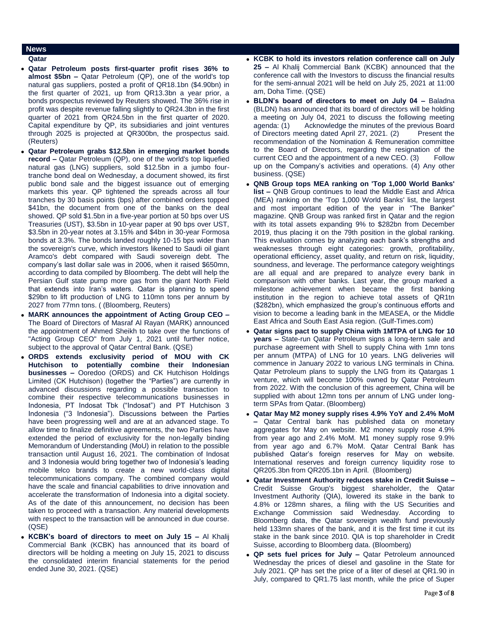# **News**

- **Qatar**
- **Qatar Petroleum posts first-quarter profit rises 36% to almost \$5bn –** Qatar Petroleum (QP), one of the world's top natural gas suppliers, posted a profit of QR18.1bn (\$4.90bn) in the first quarter of 2021, up from QR13.3bn a year prior, a bonds prospectus reviewed by Reuters showed. The 36% rise in profit was despite revenue falling slightly to QR24.3bn in the first quarter of 2021 from QR24.5bn in the first quarter of 2020. Capital expenditure by QP, its subsidiaries and joint ventures through 2025 is projected at QR300bn, the prospectus said. (Reuters)
- **Qatar Petroleum grabs \$12.5bn in emerging market bonds record –** Qatar Petroleum (QP), one of the world's top liquefied natural gas (LNG) suppliers, sold \$12.5bn in a jumbo fourtranche bond deal on Wednesday, a document showed, its first public bond sale and the biggest issuance out of emerging markets this year. QP tightened the spreads across all four tranches by 30 basis points (bps) after combined orders topped \$41bn, the document from one of the banks on the deal showed. QP sold \$1.5bn in a five-year portion at 50 bps over US Treasuries (UST), \$3.5bn in 10-year paper at 90 bps over UST, \$3.5bn in 20-year notes at 3.15% and \$4bn in 30-year Formosa bonds at 3.3%. The bonds landed roughly 10-15 bps wider than the sovereign's curve, which investors likened to Saudi oil giant Aramco's debt compared with Saudi sovereign debt. The company's last dollar sale was in 2006, when it raised \$650mn, according to data compiled by Bloomberg. The debt will help the Persian Gulf state pump more gas from the giant North Field that extends into Iran's waters. Qatar is planning to spend \$29bn to lift production of LNG to 110mn tons per annum by 2027 from 77mn tons. ( (Bloomberg, Reuters)
- **MARK announces the appointment of Acting Group CEO –** The Board of Directors of Masraf Al Rayan (MARK) announced the appointment of Ahmed Sheikh to take over the functions of "Acting Group CEO" from July 1, 2021 until further notice, subject to the approval of Qatar Central Bank. (QSE)
- **ORDS extends exclusivity period of MOU with CK Hutchison to potentially combine their Indonesian businesses –** Ooredoo (ORDS) and CK Hutchison Holdings Limited (CK Hutchison) (together the "Parties") are currently in advanced discussions regarding a possible transaction to combine their respective telecommunications businesses in Indonesia, PT Indosat Tbk ("Indosat") and PT Hutchison 3 Indonesia ("3 Indonesia"). Discussions between the Parties have been progressing well and are at an advanced stage. To allow time to finalize definitive agreements, the two Parties have extended the period of exclusivity for the non-legally binding Memorandum of Understanding (MoU) in relation to the possible transaction until August 16, 2021. The combination of Indosat and 3 Indonesia would bring together two of Indonesia's leading mobile telco brands to create a new world-class digital telecommunications company. The combined company would have the scale and financial capabilities to drive innovation and accelerate the transformation of Indonesia into a digital society. As of the date of this announcement, no decision has been taken to proceed with a transaction. Any material developments with respect to the transaction will be announced in due course. (QSE)
- **KCBK's board of directors to meet on July 15 –** Al Khalij Commercial Bank (KCBK) has announced that its board of directors will be holding a meeting on July 15, 2021 to discuss the consolidated interim financial statements for the period ended June 30, 2021. (QSE)
- **KCBK to hold its investors relation conference call on July 25 –** Al Khalij Commercial Bank (KCBK) announced that the conference call with the Investors to discuss the financial results for the semi-annual 2021 will be held on July 25, 2021 at 11:00 am, Doha Time. (QSE)
- **BLDN's board of directors to meet on July 04 –** Baladna (BLDN) has announced that its board of directors will be holding a meeting on July 04, 2021 to discuss the following meeting agenda: (1) Acknowledge the minutes of the previous Board of Directors meeting dated April 27, 2021. (2) Present the recommendation of the Nomination & Remuneration committee to the Board of Directors, regarding the resignation of the current CEO and the appointment of a new CEO. (3) Follow up on the Company's activities and operations. (4) Any other business. (QSE)
- **QNB Group tops MEA ranking on 'Top 1,000 World Banks' list –** QNB Group continues to lead the Middle East and Africa (MEA) ranking on the 'Top 1,000 World Banks' list, the largest and most important edition of the year in "The Banker" magazine. QNB Group was ranked first in Qatar and the region with its total assets expanding 9% to \$282bn from December 2019, thus placing it on the 79th position in the global ranking. This evaluation comes by analyzing each bank's strengths and weaknesses through eight categories: growth, profitability, operational efficiency, asset quality, and return on risk, liquidity, soundness, and leverage. The performance category weightings are all equal and are prepared to analyze every bank in comparison with other banks. Last year, the group marked a milestone achievement when became the first banking institution in the region to achieve total assets of QR1tn (\$282bn), which emphasized the group's continuous efforts and vision to become a leading bank in the MEASEA, or the Middle East Africa and South East Asia region. (Gulf-Times.com)
- **Qatar signs pact to supply China with 1MTPA of LNG for 10 years –** State-run Qatar Petroleum signs a long-term sale and purchase agreement with Shell to supply China with 1mn tons per annum (MTPA) of LNG for 10 years. LNG deliveries will commence in January 2022 to various LNG terminals in China. Qatar Petroleum plans to supply the LNG from its Qatargas 1 venture, which will become 100% owned by Qatar Petroleum from 2022. With the conclusion of this agreement, China will be supplied with about 12mn tons per annum of LNG under longterm SPAs from Qatar. (Bloomberg)
- **Qatar May M2 money supply rises 4.9% YoY and 2.4% MoM –** Qatar Central bank has published data on monetary aggregates for May on website. M2 money supply rose 4.9% from year ago and 2.4% MoM. M1 money supply rose 9.9% from year ago and 6.7% MoM. Qatar Central Bank has published Qatar's foreign reserves for May on website. International reserves and foreign currency liquidity rose to QR205.3bn from QR205.1bn in April. (Bloomberg)
- **Qatar Investment Authority reduces stake in Credit Suisse –** Credit Suisse Group's biggest shareholder, the Qatar Investment Authority (QIA), lowered its stake in the bank to 4.8% or 128mn shares, a filing with the US Securities and Exchange Commission said Wednesday. According to Bloomberg data, the Qatar sovereign wealth fund previously held 133mn shares of the bank, and it is the first time it cut its stake in the bank since 2010. QIA is top shareholder in Credit Suisse, according to Bloomberg data. (Bloomberg)
- **QP sets fuel prices for July –** Qatar Petroleum announced Wednesday the prices of diesel and gasoline in the State for July 2021. QP has set the price of a liter of diesel at QR1.90 in July, compared to QR1.75 last month, while the price of Super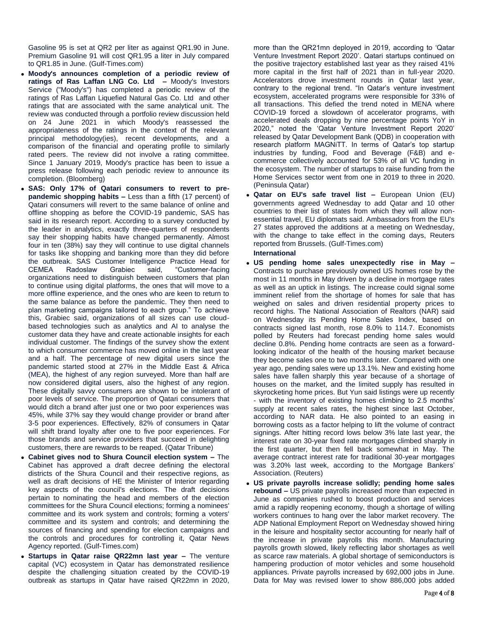Gasoline 95 is set at QR2 per liter as against QR1.90 in June. Premium Gasoline 91 will cost QR1.95 a liter in July compared to QR1.85 in June. (Gulf-Times.com)

- **Moody's announces completion of a periodic review of ratings of Ras Laffan LNG Co. Ltd –** Moody's Investors Service ("Moody's") has completed a periodic review of the ratings of Ras Laffan Liquefied Natural Gas Co. Ltd and other ratings that are associated with the same analytical unit. The review was conducted through a portfolio review discussion held on 24 June 2021 in which Moody's reassessed the appropriateness of the ratings in the context of the relevant principal methodology(ies), recent developments, and a comparison of the financial and operating profile to similarly rated peers. The review did not involve a rating committee. Since 1 January 2019, Moody's practice has been to issue a press release following each periodic review to announce its completion. (Bloomberg)
- **SAS: Only 17% of Qatari consumers to revert to prepandemic shopping habits –** Less than a fifth (17 percent) of Qatari consumers will revert to the same balance of online and offline shopping as before the COVID-19 pandemic, SAS has said in its research report. According to a survey conducted by the leader in analytics, exactly three-quarters of respondents say their shopping habits have changed permanently. Almost four in ten (38%) say they will continue to use digital channels for tasks like shopping and banking more than they did before the outbreak. SAS Customer Intelligence Practice Head for CEMEA Radoslaw Grabiec said, "Customer-facing organizations need to distinguish between customers that plan to continue using digital platforms, the ones that will move to a more offline experience, and the ones who are keen to return to the same balance as before the pandemic. They then need to plan marketing campaigns tailored to each group." To achieve this, Grabiec said, organizations of all sizes can use cloudbased technologies such as analytics and AI to analyse the customer data they have and create actionable insights for each individual customer. The findings of the survey show the extent to which consumer commerce has moved online in the last year and a half. The percentage of new digital users since the pandemic started stood at 27% in the Middle East & Africa (MEA), the highest of any region surveyed. More than half are now considered digital users, also the highest of any region. These digitally savvy consumers are shown to be intolerant of poor levels of service. The proportion of Qatari consumers that would ditch a brand after just one or two poor experiences was 45%, while 37% say they would change provider or brand after 3-5 poor experiences. Effectively, 82% of consumers in Qatar will shift brand loyalty after one to five poor experiences. For those brands and service providers that succeed in delighting customers, there are rewards to be reaped. (Qatar Tribune)
- **Cabinet gives nod to Shura Council election system –** The Cabinet has approved a draft decree defining the electoral districts of the Shura Council and their respective regions, as well as draft decisions of HE the Minister of Interior regarding key aspects of the council's elections. The draft decisions pertain to nominating the head and members of the election committees for the Shura Council elections; forming a nominees' committee and its work system and controls; forming a voters' committee and its system and controls; and determining the sources of financing and spending for election campaigns and the controls and procedures for controlling it, Qatar News Agency reported. (Gulf-Times.com)
- **Startups in Qatar raise QR22mn last year –** The venture capital (VC) ecosystem in Qatar has demonstrated resilience despite the challenging situation created by the COVID-19 outbreak as startups in Qatar have raised QR22mn in 2020,

more than the QR21mn deployed in 2019, according to 'Qatar Venture Investment Report 2020'. Qatari startups continued on the positive trajectory established last year as they raised 41% more capital in the first half of 2021 than in full-year 2020. Accelerators drove investment rounds in Qatar last year, contrary to the regional trend. "In Qatar's venture investment ecosystem, accelerated programs were responsible for 33% of all transactions. This defied the trend noted in MENA where COVID-19 forced a slowdown of accelerator programs, with accelerated deals dropping by nine percentage points YoY in 2020," noted the 'Qatar Venture Investment Report 2020' released by Qatar Development Bank (QDB) in cooperation with research platform MAGNiTT. In terms of Qatar's top startup industries by funding, Food and Beverage (F&B) and ecommerce collectively accounted for 53% of all VC funding in the ecosystem. The number of startups to raise funding from the Home Services sector went from one in 2019 to three in 2020. (Peninsula Qatar)

 **Qatar on EU's safe travel list –** European Union (EU) governments agreed Wednesday to add Qatar and 10 other countries to their list of states from which they will allow nonessential travel, EU diplomats said. Ambassadors from the EU's 27 states approved the additions at a meeting on Wednesday, with the change to take effect in the coming days, Reuters reported from Brussels. (Gulf-Times.com)

# **International**

- **US pending home sales unexpectedly rise in May –** Contracts to purchase previously owned US homes rose by the most in 11 months in May driven by a decline in mortgage rates as well as an uptick in listings. The increase could signal some imminent relief from the shortage of homes for sale that has weighed on sales and driven residential property prices to record highs. The National Association of Realtors (NAR) said on Wednesday its Pending Home Sales Index, based on contracts signed last month, rose 8.0% to 114.7. Economists polled by Reuters had forecast pending home sales would decline 0.8%. Pending home contracts are seen as a forwardlooking indicator of the health of the housing market because they become sales one to two months later. Compared with one year ago, pending sales were up 13.1%. New and existing home sales have fallen sharply this year because of a shortage of houses on the market, and the limited supply has resulted in skyrocketing home prices. But Yun said listings were up recently - with the inventory of existing homes climbing to 2.5 months' supply at recent sales rates, the highest since last October, according to NAR data. He also pointed to an easing in borrowing costs as a factor helping to lift the volume of contract signings. After hitting record lows below 3% late last year, the interest rate on 30-year fixed rate mortgages climbed sharply in the first quarter, but then fell back somewhat in May. The average contract interest rate for traditional 30-year mortgages was 3.20% last week, according to the Mortgage Bankers' Association. (Reuters)
- **US private payrolls increase solidly; pending home sales rebound –** US private payrolls increased more than expected in June as companies rushed to boost production and services amid a rapidly reopening economy, though a shortage of willing workers continues to hang over the labor market recovery. The ADP National Employment Report on Wednesday showed hiring in the leisure and hospitality sector accounting for nearly half of the increase in private payrolls this month. Manufacturing payrolls growth slowed, likely reflecting labor shortages as well as scarce raw materials. A global shortage of semiconductors is hampering production of motor vehicles and some household appliances. Private payrolls increased by 692,000 jobs in June. Data for May was revised lower to show 886,000 jobs added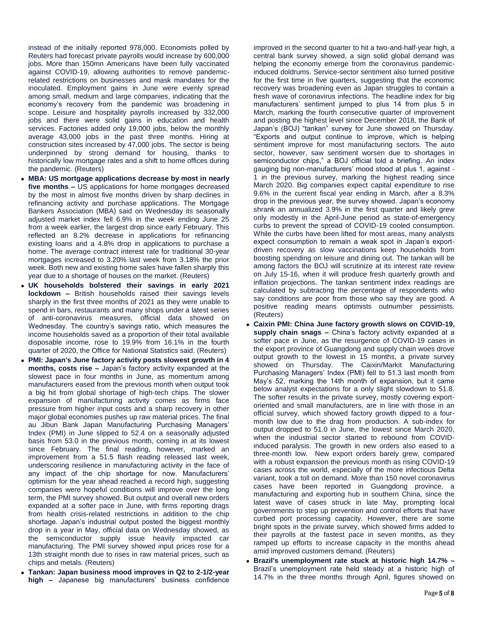instead of the initially reported 978,000. Economists polled by Reuters had forecast private payrolls would increase by 600,000 jobs. More than 150mn Americans have been fully vaccinated against COVID-19, allowing authorities to remove pandemicrelated restrictions on businesses and mask mandates for the inoculated. Employment gains in June were evenly spread among small, medium and large companies, indicating that the economy's recovery from the pandemic was broadening in scope. Leisure and hospitality payrolls increased by 332,000 jobs and there were solid gains in education and health services. Factories added only 19,000 jobs, below the monthly average 43,000 jobs in the past three months. Hiring at construction sites increased by 47,000 jobs. The sector is being underpinned by strong demand for housing, thanks to historically low mortgage rates and a shift to home offices during the pandemic. (Reuters)

- **MBA: US mortgage applications decrease by most in nearly five months –** US applications for home mortgages decreased by the most in almost five months driven by sharp declines in refinancing activity and purchase applications. The Mortgage Bankers Association (MBA) said on Wednesday its seasonally adjusted market index fell 6.9% in the week ending June 25 from a week earlier, the largest drop since early February. This reflected an 8.2% decrease in applications for refinancing existing loans and a 4.8% drop in applications to purchase a home. The average contract interest rate for traditional 30-year mortgages increased to 3.20% last week from 3.18% the prior week. Both new and existing home sales have fallen sharply this year due to a shortage of houses on the market. (Reuters)
- **UK households bolstered their savings in early 2021 lockdown –** British households raised their savings levels sharply in the first three months of 2021 as they were unable to spend in bars, restaurants and many shops under a latest series of anti-coronavirus measures, official data showed on Wednesday. The country's savings ratio, which measures the income households saved as a proportion of their total available disposable income, rose to 19.9% from 16.1% in the fourth quarter of 2020, the Office for National Statistics said. (Reuters)
- **PMI: Japan's June factory activity posts slowest growth in 4 months, costs rise –** Japan's factory activity expanded at the slowest pace in four months in June, as momentum among manufacturers eased from the previous month when output took a big hit from global shortage of high-tech chips. The slower expansion of manufacturing activity comes as firms face pressure from higher input costs and a sharp recovery in other major global economies pushes up raw material prices. The final au Jibun Bank Japan Manufacturing Purchasing Managers' Index (PMI) in June slipped to 52.4 on a seasonally adjusted basis from 53.0 in the previous month, coming in at its lowest since February. The final reading, however, marked an improvement from a 51.5 flash reading released last week, underscoring resilience in manufacturing activity in the face of any impact of the chip shortage for now. Manufacturers' optimism for the year ahead reached a record high, suggesting companies were hopeful conditions will improve over the long term, the PMI survey showed. But output and overall new orders expanded at a softer pace in June, with firms reporting drags from health crisis-related restrictions in addition to the chip shortage. Japan's industrial output posted the biggest monthly drop in a year in May, official data on Wednesday showed, as the semiconductor supply issue heavily impacted car manufacturing. The PMI survey showed input prices rose for a 13th straight month due to rises in raw material prices, such as chips and metals. (Reuters)
- **Tankan: Japan business mood improves in Q2 to 2-1/2-year high –** Japanese big manufacturers' business confidence

improved in the second quarter to hit a two-and-half-year high, a central bank survey showed, a sign solid global demand was helping the economy emerge from the coronavirus pandemicinduced doldrums. Service-sector sentiment also turned positive for the first time in five quarters, suggesting that the economic recovery was broadening even as Japan struggles to contain a fresh wave of coronavirus infections. The headline index for big manufacturers' sentiment jumped to plus 14 from plus 5 in March, marking the fourth consecutive quarter of improvement and posting the highest level since December 2018, the Bank of Japan's (BOJ) "tankan" survey for June showed on Thursday. "Exports and output continue to improve, which is helping sentiment improve for most manufacturing sectors. The auto sector, however, saw sentiment worsen due to shortages in semiconductor chips," a BOJ official told a briefing. An index gauging big non-manufacturers' mood stood at plus 1, against - 1 in the previous survey, marking the highest reading since March 2020. Big companies expect capital expenditure to rise 9.6% in the current fiscal year ending in March, after a 8.3% drop in the previous year, the survey showed. Japan's economy shrank an annualized 3.9% in the first quarter and likely grew only modestly in the April-June period as state-of-emergency curbs to prevent the spread of COVID-19 cooled consumption. While the curbs have been lifted for most areas, many analysts expect consumption to remain a weak spot in Japan's exportdriven recovery as slow vaccinations keep households from boosting spending on leisure and dining out. The tankan will be among factors the BOJ will scrutinize at its interest rate review on July 15-16, when it will produce fresh quarterly growth and inflation projections. The tankan sentiment index readings are calculated by subtracting the percentage of respondents who say conditions are poor from those who say they are good. A positive reading means optimists outnumber pessimists. (Reuters)

- **Caixin PMI: China June factory growth slows on COVID-19, supply chain snags –** China's factory activity expanded at a softer pace in June, as the resurgence of COVID-19 cases in the export province of Guangdong and supply chain woes drove output growth to the lowest in 15 months, a private survey showed on Thursday. The Caixin/Markit Manufacturing Purchasing Managers' Index (PMI) fell to 51.3 last month from May's 52, marking the 14th month of expansion, but it came below analyst expectations for a only slight slowdown to 51.8. The softer results in the private survey, mostly covering exportoriented and small manufacturers, are in line with those in an official survey, which showed factory growth dipped to a fourmonth low due to the drag from production. A sub-index for output dropped to 51.0 in June, the lowest since March 2020, when the industrial sector started to rebound from COVIDinduced paralysis. The growth in new orders also eased to a three-month low. New export orders barely grew, compared with a robust expansion the previous month as rising COVID-19 cases across the world, especially of the more infectious Delta variant, took a toll on demand. More than 150 novel coronavirus cases have been reported in Guangdong province, a manufacturing and exporting hub in southern China, since the latest wave of cases struck in late May, prompting local governments to step up prevention and control efforts that have curbed port processing capacity. However, there are some bright spots in the private survey, which showed firms added to their payrolls at the fastest pace in seven months, as they ramped up efforts to increase capacity in the months ahead amid improved customers demand. (Reuters)
- **Brazil's unemployment rate stuck at historic high 14.7% –** Brazil's unemployment rate held steady at a historic high of 14.7% in the three months through April, figures showed on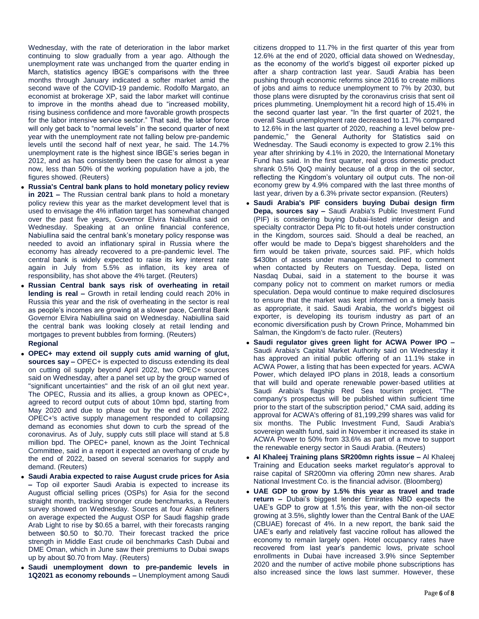Wednesday, with the rate of deterioration in the labor market continuing to slow gradually from a year ago. Although the unemployment rate was unchanged from the quarter ending in March, statistics agency IBGE's comparisons with the three months through January indicated a softer market amid the second wave of the COVID-19 pandemic. Rodolfo Margato, an economist at brokerage XP, said the labor market will continue to improve in the months ahead due to "increased mobility, rising business confidence and more favorable growth prospects for the labor intensive service sector." That said, the labor force will only get back to "normal levels" in the second quarter of next year with the unemployment rate not falling below pre-pandemic levels until the second half of next year, he said. The 14.7% unemployment rate is the highest since IBGE's series began in 2012, and as has consistently been the case for almost a year now, less than 50% of the working population have a job, the figures showed. (Reuters)

- **Russia's Central bank plans to hold monetary policy review in 2021 –** The Russian central bank plans to hold a monetary policy review this year as the market development level that is used to envisage the 4% inflation target has somewhat changed over the past five years, Governor Elvira Nabiullina said on Wednesday. Speaking at an online financial conference, Nabiullina said the central bank's monetary policy response was needed to avoid an inflationary spiral in Russia where the economy has already recovered to a pre-pandemic level. The central bank is widely expected to raise its key interest rate again in July from 5.5% as inflation, its key area of responsibility, has shot above the 4% target. (Reuters)
- **Russian Central bank says risk of overheating in retail lending is real –** Growth in retail lending could reach 20% in Russia this year and the risk of overheating in the sector is real as people's incomes are growing at a slower pace, Central Bank Governor Elvira Nabiullina said on Wednesday. Nabiullina said the central bank was looking closely at retail lending and mortgages to prevent bubbles from forming. (Reuters)

# **Regional**

- **OPEC+ may extend oil supply cuts amid warning of glut, sources say –** OPEC+ is expected to discuss extending its deal on cutting oil supply beyond April 2022, two OPEC+ sources said on Wednesday, after a panel set up by the group warned of "significant uncertainties" and the risk of an oil glut next year. The OPEC, Russia and its allies, a group known as OPEC+, agreed to record output cuts of about 10mn bpd, starting from May 2020 and due to phase out by the end of April 2022. OPEC+'s active supply management responded to collapsing demand as economies shut down to curb the spread of the coronavirus. As of July, supply cuts still place will stand at 5.8 million bpd. The OPEC+ panel, known as the Joint Technical Committee, said in a report it expected an overhang of crude by the end of 2022, based on several scenarios for supply and demand. (Reuters)
- **Saudi Arabia expected to raise August crude prices for Asia –** Top oil exporter Saudi Arabia is expected to increase its August official selling prices (OSPs) for Asia for the second straight month, tracking stronger crude benchmarks, a Reuters survey showed on Wednesday. Sources at four Asian refiners on average expected the August OSP for Saudi flagship grade Arab Light to rise by \$0.65 a barrel, with their forecasts ranging between \$0.50 to \$0.70. Their forecast tracked the price strength in Middle East crude oil benchmarks Cash Dubai and DME Oman, which in June saw their premiums to Dubai swaps up by about \$0.70 from May. (Reuters)
- **Saudi unemployment down to pre-pandemic levels in 1Q2021 as economy rebounds –** Unemployment among Saudi

citizens dropped to 11.7% in the first quarter of this year from 12.6% at the end of 2020, official data showed on Wednesday, as the economy of the world's biggest oil exporter picked up after a sharp contraction last year. Saudi Arabia has been pushing through economic reforms since 2016 to create millions of jobs and aims to reduce unemployment to 7% by 2030, but those plans were disrupted by the coronavirus crisis that sent oil prices plummeting. Unemployment hit a record high of 15.4% in the second quarter last year. "In the first quarter of 2021, the overall Saudi unemployment rate decreased to 11.7% compared to 12.6% in the last quarter of 2020, reaching a level below prepandemic," the General Authority for Statistics said on Wednesday. The Saudi economy is expected to grow 2.1% this year after shrinking by 4.1% in 2020, the International Monetary Fund has said. In the first quarter, real gross domestic product shrank 0.5% QoQ mainly because of a drop in the oil sector, reflecting the Kingdom's voluntary oil output cuts. The non-oil economy grew by 4.9% compared with the last three months of last year, driven by a 6.3% private sector expansion. (Reuters)

- **Saudi Arabia's PIF considers buying Dubai design firm Depa, sources say –** Saudi Arabia's Public Investment Fund (PIF) is considering buying Dubai-listed interior design and specialty contractor Depa Plc to fit-out hotels under construction in the Kingdom, sources said. Should a deal be reached, an offer would be made to Depa's biggest shareholders and the firm would be taken private, sources said. PIF, which holds \$430bn of assets under management, declined to comment when contacted by Reuters on Tuesday. Depa, listed on Nasdaq Dubai, said in a statement to the bourse it was company policy not to comment on market rumors or media speculation. Depa would continue to make required disclosures to ensure that the market was kept informed on a timely basis as appropriate, it said. Saudi Arabia, the world's biggest oil exporter, is developing its tourism industry as part of an economic diversification push by Crown Prince, Mohammed bin Salman, the Kingdom's de facto ruler. (Reuters)
- **Saudi regulator gives green light for ACWA Power IPO –** Saudi Arabia's Capital Market Authority said on Wednesday it has approved an initial public offering of an 11.1% stake in ACWA Power, a listing that has been expected for years. ACWA Power, which delayed IPO plans in 2018, leads a consortium that will build and operate renewable power-based utilities at Saudi Arabia's flagship Red Sea tourism project. "The company's prospectus will be published within sufficient time prior to the start of the subscription period," CMA said, adding its approval for ACWA's offering of 81,199,299 shares was valid for six months. The Public Investment Fund, Saudi Arabia's sovereign wealth fund, said in November it increased its stake in ACWA Power to 50% from 33.6% as part of a move to support the renewable energy sector in Saudi Arabia. (Reuters)
- **Al Khaleej Training plans SR200mn rights issue –** Al Khaleej Training and Education seeks market regulator's approval to raise capital of SR200mn via offering 20mn new shares. Arab National Investment Co. is the financial advisor. (Bloomberg)
- **UAE GDP to grow by 1.5% this year as travel and trade return –** Dubai's biggest lender Emirates NBD expects the UAE's GDP to grow at 1.5% this year, with the non-oil sector growing at 3.5%, slightly lower than the Central Bank of the UAE (CBUAE) forecast of 4%. In a new report, the bank said the UAE's early and relatively fast vaccine rollout has allowed the economy to remain largely open. Hotel occupancy rates have recovered from last year's pandemic lows, private school enrollments in Dubai have increased 3.9% since September 2020 and the number of active mobile phone subscriptions has also increased since the lows last summer. However, these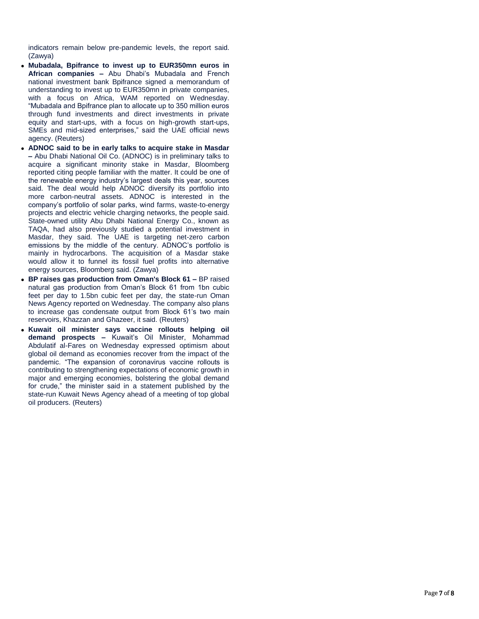indicators remain below pre -pandemic levels, the report said. (Zawya)

- **Mubadala, Bpifrance to invest up to EUR350mn euros in African companies –** Abu Dhabi's Mubadala and French national investment bank Bpifrance signed a memorandum of understanding to invest up to EUR350mn in private companies, with a focus on Africa, WAM reported on Wednesday. "Mubadala and Bpifrance plan to allocate up to 350 million euros through fund investments and direct investments in private equity and start -ups, with a focus on high -growth start -ups, SMEs and mid -sized enterprises," said the UAE official news agency. (Reuters)
- **ADNOC said to be in early talks to acquire stake in Masdar –** Abu Dhabi National Oil Co. (ADNOC) is in preliminary talks to acquire a significant minority stake in Masdar, Bloomberg reported citing people familiar with the matter. It could be one of the renewable energy industry's largest deals this year, sources said. The deal would help ADNOC diversify its portfolio into more carbon -neutral assets. ADNOC is interested in the company's portfolio of solar parks, wind farms, waste -to -energy projects and electric vehicle charging networks, the people said. State -owned utility Abu Dhabi National Energy Co., known as TAQA, had also previously studied a potential investment in Masdar, they said. The UAE is targeting net -zero carbon emissions by the middle of the century. ADNOC's portfolio is mainly in hydrocarbons. The acquisition of a Masdar stake would allow it to funnel its fossil fuel profits into alternative energy sources, Bloomberg said. (Zawya)
- **BP raises gas production from Oman's Block 61 –** BP raised natural gas production from Oman's Block 61 from 1bn cubic feet per day to 1.5bn cubic feet per day, the state -run Oman News Agency reported on Wednesday. The company also plans to increase gas condensate output from Block 61's two main reservoirs, Khazzan and Ghazeer, it said. (Reuters)
- **Kuwait oil minister says vaccine rollouts helping oil demand prospects –** Kuwait's Oil Minister, Mohammad Abdulatif al -Fares on Wednesday expressed optimism about global oil demand as economies recover from the impact of the pandemic. "The expansion of coronavirus vaccine rollouts is contributing to strengthening expectations of economic growth in major and emerging economies, bolstering the global demand for crude," the minister said in a statement published by the state -run Kuwait News Agency ahead of a meeting of top global oil producers. (Reuters)